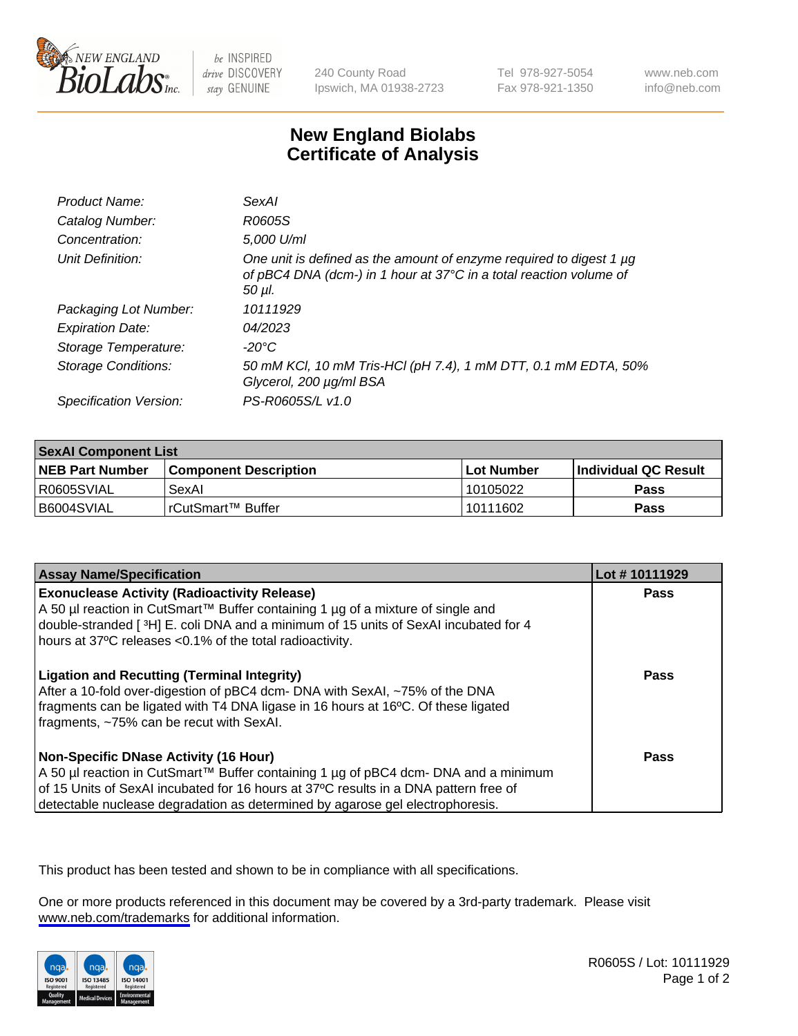

be INSPIRED drive DISCOVERY stay GENUINE

240 County Road Ipswich, MA 01938-2723 Tel 978-927-5054 Fax 978-921-1350

www.neb.com info@neb.com

## **New England Biolabs Certificate of Analysis**

| Product Name:           | SexAl                                                                                                                                               |
|-------------------------|-----------------------------------------------------------------------------------------------------------------------------------------------------|
| Catalog Number:         | R0605S                                                                                                                                              |
| Concentration:          | 5,000 U/ml                                                                                                                                          |
| Unit Definition:        | One unit is defined as the amount of enzyme required to digest 1 µg<br>of pBC4 DNA (dcm-) in 1 hour at 37°C in a total reaction volume of<br>50 µl. |
| Packaging Lot Number:   | 10111929                                                                                                                                            |
| <b>Expiration Date:</b> | 04/2023                                                                                                                                             |
| Storage Temperature:    | -20°C                                                                                                                                               |
| Storage Conditions:     | 50 mM KCl, 10 mM Tris-HCl (pH 7.4), 1 mM DTT, 0.1 mM EDTA, 50%<br>Glycerol, 200 µg/ml BSA                                                           |
| Specification Version:  | PS-R0605S/L v1.0                                                                                                                                    |

| <b>SexAl Component List</b> |                              |             |                       |  |
|-----------------------------|------------------------------|-------------|-----------------------|--|
| <b>NEB Part Number</b>      | <b>Component Description</b> | ⊺Lot Number | ∣Individual QC Result |  |
| R0605SVIAL                  | SexAl                        | 10105022    | <b>Pass</b>           |  |
| B6004SVIAL                  | l rCutSmart™ Buffer_         | 10111602    | <b>Pass</b>           |  |

| <b>Assay Name/Specification</b>                                                                                                                                                                                                                                                                                | Lot #10111929 |
|----------------------------------------------------------------------------------------------------------------------------------------------------------------------------------------------------------------------------------------------------------------------------------------------------------------|---------------|
| <b>Exonuclease Activity (Radioactivity Release)</b><br>A 50 µl reaction in CutSmart™ Buffer containing 1 µg of a mixture of single and<br>double-stranded [3H] E. coli DNA and a minimum of 15 units of SexAI incubated for 4<br>hours at 37°C releases <0.1% of the total radioactivity.                      | Pass          |
| <b>Ligation and Recutting (Terminal Integrity)</b><br>After a 10-fold over-digestion of pBC4 dcm- DNA with SexAI, ~75% of the DNA<br>fragments can be ligated with T4 DNA ligase in 16 hours at 16°C. Of these ligated<br>fragments, ~75% can be recut with SexAI.                                             | Pass          |
| <b>Non-Specific DNase Activity (16 Hour)</b><br>  A 50 µl reaction in CutSmart™ Buffer containing 1 µg of pBC4 dcm- DNA and a minimum<br>of 15 Units of SexAI incubated for 16 hours at 37°C results in a DNA pattern free of<br>detectable nuclease degradation as determined by agarose gel electrophoresis. | <b>Pass</b>   |

This product has been tested and shown to be in compliance with all specifications.

One or more products referenced in this document may be covered by a 3rd-party trademark. Please visit <www.neb.com/trademarks>for additional information.